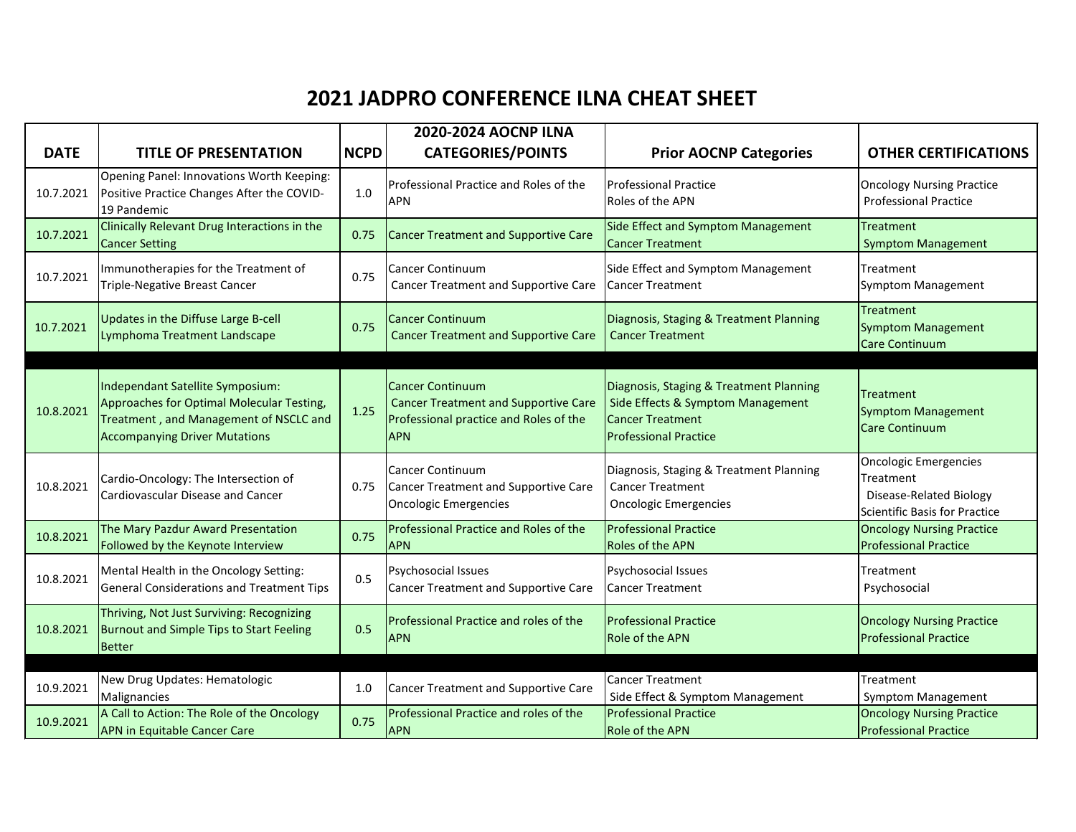## **2021 JADPRO CONFERENCE ILNA CHEAT SHEET**

|             |                                                                                                                                                                 |             | <b>2020-2024 AOCNP ILNA</b>                                                                                                    |                                                                                                                                         |                                                                                                              |
|-------------|-----------------------------------------------------------------------------------------------------------------------------------------------------------------|-------------|--------------------------------------------------------------------------------------------------------------------------------|-----------------------------------------------------------------------------------------------------------------------------------------|--------------------------------------------------------------------------------------------------------------|
| <b>DATE</b> | <b>TITLE OF PRESENTATION</b>                                                                                                                                    | <b>NCPD</b> | <b>CATEGORIES/POINTS</b>                                                                                                       | <b>Prior AOCNP Categories</b>                                                                                                           | <b>OTHER CERTIFICATIONS</b>                                                                                  |
| 10.7.2021   | Opening Panel: Innovations Worth Keeping:<br>Positive Practice Changes After the COVID-<br>19 Pandemic                                                          | 1.0         | Professional Practice and Roles of the<br><b>APN</b>                                                                           | <b>Professional Practice</b><br>Roles of the APN                                                                                        | <b>Oncology Nursing Practice</b><br><b>Professional Practice</b>                                             |
| 10.7.2021   | Clinically Relevant Drug Interactions in the<br><b>Cancer Setting</b>                                                                                           | 0.75        | <b>Cancer Treatment and Supportive Care</b>                                                                                    | Side Effect and Symptom Management<br><b>Cancer Treatment</b>                                                                           | <b>Treatment</b><br><b>Symptom Management</b>                                                                |
| 10.7.2021   | Immunotherapies for the Treatment of<br>Triple-Negative Breast Cancer                                                                                           | 0.75        | <b>Cancer Continuum</b><br><b>Cancer Treatment and Supportive Care</b>                                                         | Side Effect and Symptom Management<br><b>Cancer Treatment</b>                                                                           | Treatment<br>Symptom Management                                                                              |
| 10.7.2021   | Updates in the Diffuse Large B-cell<br>Lymphoma Treatment Landscape                                                                                             | 0.75        | <b>Cancer Continuum</b><br><b>Cancer Treatment and Supportive Care</b>                                                         | Diagnosis, Staging & Treatment Planning<br><b>Cancer Treatment</b>                                                                      | <b>Treatment</b><br><b>Symptom Management</b><br><b>Care Continuum</b>                                       |
| 10.8.2021   | Independant Satellite Symposium:<br>Approaches for Optimal Molecular Testing,<br>Treatment, and Management of NSCLC and<br><b>Accompanying Driver Mutations</b> | 1.25        | <b>Cancer Continuum</b><br><b>Cancer Treatment and Supportive Care</b><br>Professional practice and Roles of the<br><b>APN</b> | Diagnosis, Staging & Treatment Planning<br>Side Effects & Symptom Management<br><b>Cancer Treatment</b><br><b>Professional Practice</b> | Treatment<br><b>Symptom Management</b><br><b>Care Continuum</b>                                              |
| 10.8.2021   | Cardio-Oncology: The Intersection of<br><b>Cardiovascular Disease and Cancer</b>                                                                                | 0.75        | <b>Cancer Continuum</b><br>Cancer Treatment and Supportive Care<br><b>Oncologic Emergencies</b>                                | Diagnosis, Staging & Treatment Planning<br><b>Cancer Treatment</b><br><b>Oncologic Emergencies</b>                                      | <b>Oncologic Emergencies</b><br>Treatment<br>Disease-Related Biology<br><b>Scientific Basis for Practice</b> |
| 10.8.2021   | The Mary Pazdur Award Presentation<br>Followed by the Keynote Interview                                                                                         | 0.75        | Professional Practice and Roles of the<br><b>APN</b>                                                                           | <b>Professional Practice</b><br>Roles of the APN                                                                                        | <b>Oncology Nursing Practice</b><br><b>Professional Practice</b>                                             |
| 10.8.2021   | Mental Health in the Oncology Setting:<br><b>General Considerations and Treatment Tips</b>                                                                      | 0.5         | Psychosocial Issues<br><b>Cancer Treatment and Supportive Care</b>                                                             | Psychosocial Issues<br><b>Cancer Treatment</b>                                                                                          | Treatment<br>Psychosocial                                                                                    |
| 10.8.2021   | Thriving, Not Just Surviving: Recognizing<br><b>Burnout and Simple Tips to Start Feeling</b><br>Better                                                          | 0.5         | Professional Practice and roles of the<br><b>APN</b>                                                                           | <b>Professional Practice</b><br><b>Role of the APN</b>                                                                                  | <b>Oncology Nursing Practice</b><br><b>Professional Practice</b>                                             |
| 10.9.2021   | New Drug Updates: Hematologic<br>Malignancies                                                                                                                   | 1.0         | Cancer Treatment and Supportive Care                                                                                           | <b>Cancer Treatment</b><br>Side Effect & Symptom Management                                                                             | Treatment<br><b>Symptom Management</b>                                                                       |
| 10.9.2021   | A Call to Action: The Role of the Oncology<br><b>APN in Equitable Cancer Care</b>                                                                               | 0.75        | Professional Practice and roles of the<br><b>APN</b>                                                                           | <b>Professional Practice</b><br><b>Role of the APN</b>                                                                                  | <b>Oncology Nursing Practice</b><br><b>Professional Practice</b>                                             |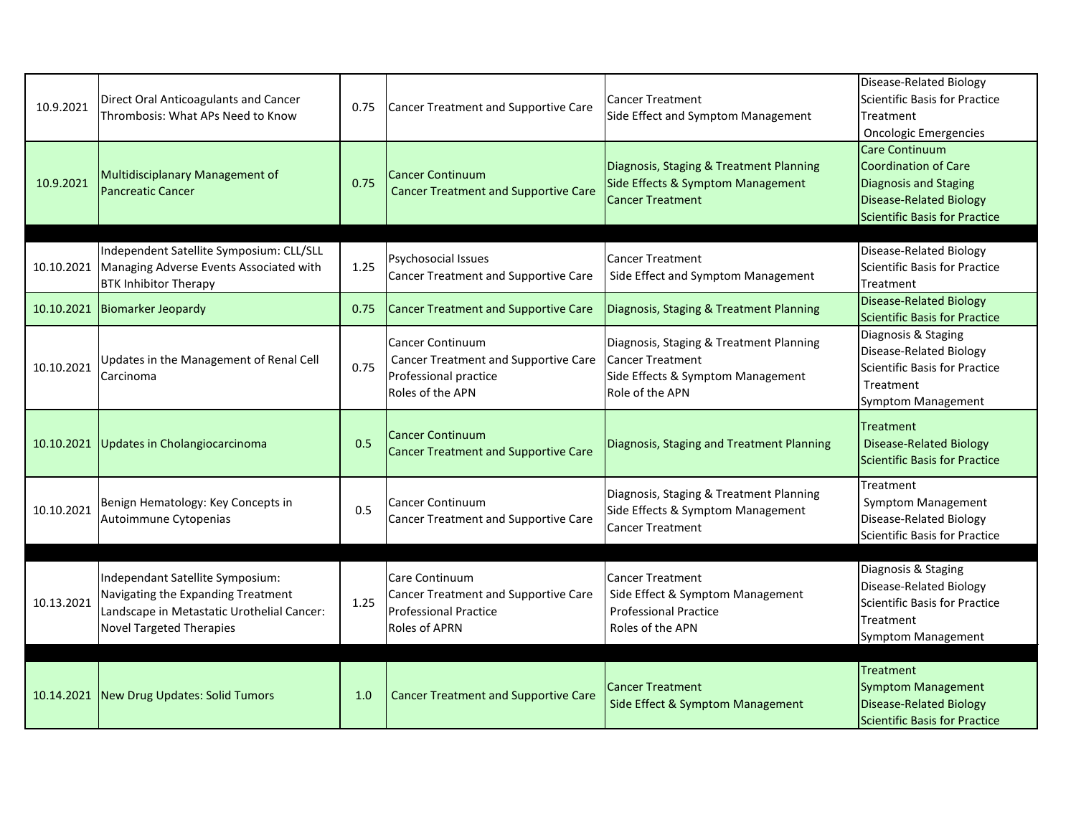| 10.9.2021  | Direct Oral Anticoagulants and Cancer<br>Thrombosis: What APs Need to Know                                                                              | 0.75 | Cancer Treatment and Supportive Care                                                                                         | <b>Cancer Treatment</b><br>Side Effect and Symptom Management                                                              | Disease-Related Biology<br>Scientific Basis for Practice<br>Treatment<br><b>Oncologic Emergencies</b>                              |
|------------|---------------------------------------------------------------------------------------------------------------------------------------------------------|------|------------------------------------------------------------------------------------------------------------------------------|----------------------------------------------------------------------------------------------------------------------------|------------------------------------------------------------------------------------------------------------------------------------|
| 10.9.2021  | <b>Multidisciplanary Management of</b><br><b>Pancreatic Cancer</b>                                                                                      | 0.75 | <b>Cancer Continuum</b><br><b>Cancer Treatment and Supportive Care</b>                                                       | Diagnosis, Staging & Treatment Planning<br>Side Effects & Symptom Management<br><b>Cancer Treatment</b>                    | Care Continuum<br>Coordination of Care<br>Diagnosis and Staging<br>Disease-Related Biology<br><b>Scientific Basis for Practice</b> |
| 10.10.2021 | Independent Satellite Symposium: CLL/SLL<br>Managing Adverse Events Associated with<br><b>BTK Inhibitor Therapy</b>                                     | 1.25 | Psychosocial Issues<br><b>Cancer Treatment and Supportive Care</b>                                                           | <b>Cancer Treatment</b><br>Side Effect and Symptom Management                                                              | Disease-Related Biology<br>Scientific Basis for Practice<br>Treatment                                                              |
| 10.10.2021 | <b>Biomarker Jeopardy</b>                                                                                                                               | 0.75 | Cancer Treatment and Supportive Care                                                                                         | Diagnosis, Staging & Treatment Planning                                                                                    | <b>Disease-Related Biology</b><br><b>Scientific Basis for Practice</b>                                                             |
| 10.10.2021 | Updates in the Management of Renal Cell<br>Carcinoma                                                                                                    | 0.75 | <b>Cancer Continuum</b><br><b>Cancer Treatment and Supportive Care</b><br>Professional practice<br>Roles of the APN          | Diagnosis, Staging & Treatment Planning<br><b>Cancer Treatment</b><br>Side Effects & Symptom Management<br>Role of the APN | Diagnosis & Staging<br>Disease-Related Biology<br><b>Scientific Basis for Practice</b><br>Treatment<br>Symptom Management          |
| 10.10.2021 | Updates in Cholangiocarcinoma                                                                                                                           | 0.5  | <b>Cancer Continuum</b><br><b>Cancer Treatment and Supportive Care</b>                                                       | Diagnosis, Staging and Treatment Planning                                                                                  | Treatment<br><b>Disease-Related Biology</b><br>Scientific Basis for Practice                                                       |
| 10.10.2021 | Benign Hematology: Key Concepts in<br>Autoimmune Cytopenias                                                                                             | 0.5  | <b>Cancer Continuum</b><br><b>Cancer Treatment and Supportive Care</b>                                                       | Diagnosis, Staging & Treatment Planning<br>Side Effects & Symptom Management<br><b>Cancer Treatment</b>                    | Treatment<br><b>Symptom Management</b><br>Disease-Related Biology<br><b>Scientific Basis for Practice</b>                          |
| 10.13.2021 | Independant Satellite Symposium:<br>Navigating the Expanding Treatment<br>Landscape in Metastatic Urothelial Cancer:<br><b>Novel Targeted Therapies</b> | 1.25 | <b>Care Continuum</b><br><b>Cancer Treatment and Supportive Care</b><br><b>Professional Practice</b><br><b>Roles of APRN</b> | <b>Cancer Treatment</b><br>Side Effect & Symptom Management<br><b>Professional Practice</b><br>Roles of the APN            | Diagnosis & Staging<br><b>Disease-Related Biology</b><br>Scientific Basis for Practice<br>Treatment<br>Symptom Management          |
|            | 10.14.2021 New Drug Updates: Solid Tumors                                                                                                               | 1.0  | <b>Cancer Treatment and Supportive Care</b>                                                                                  | <b>Cancer Treatment</b><br>Side Effect & Symptom Management                                                                | Treatment<br>Symptom Management<br>Disease-Related Biology<br>Scientific Basis for Practice                                        |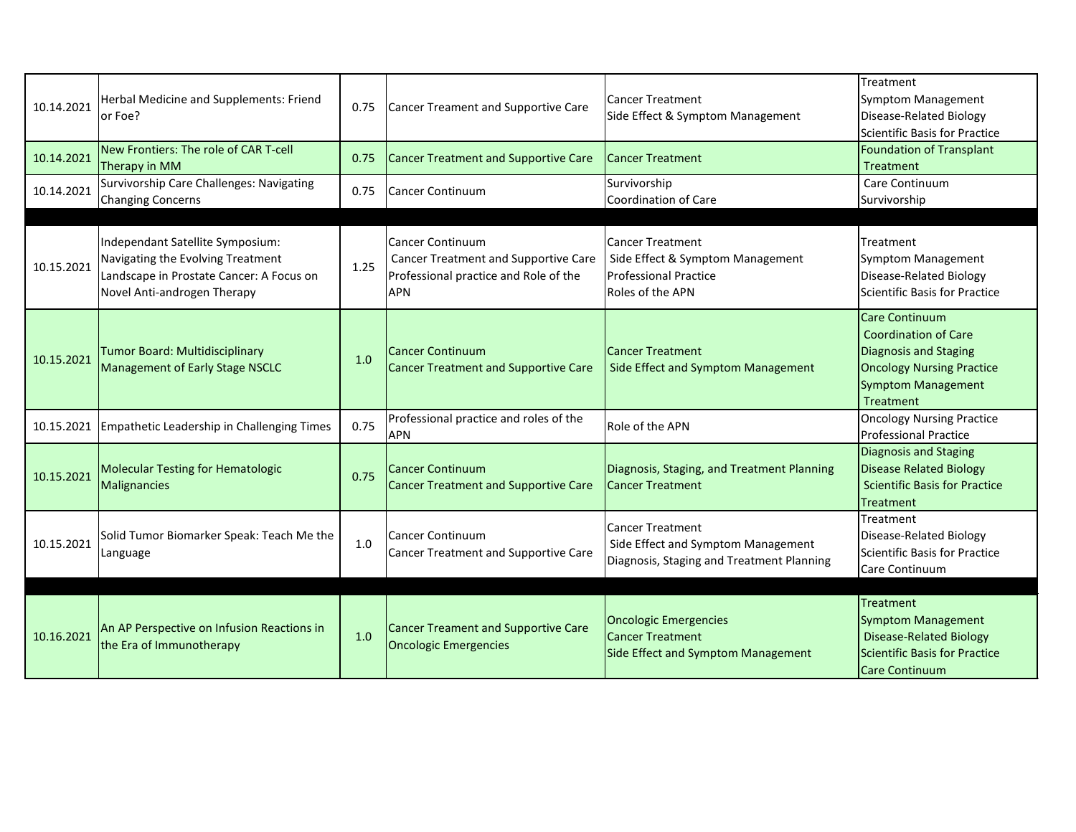| 10.14.2021 | Herbal Medicine and Supplements: Friend<br>or Foe?                                                                                               | 0.75 | Cancer Treament and Supportive Care                                                                             | <b>Cancer Treatment</b><br>Side Effect & Symptom Management                                                     | Treatment<br>Symptom Management<br>Disease-Related Biology<br>Scientific Basis for Practice                                                                 |
|------------|--------------------------------------------------------------------------------------------------------------------------------------------------|------|-----------------------------------------------------------------------------------------------------------------|-----------------------------------------------------------------------------------------------------------------|-------------------------------------------------------------------------------------------------------------------------------------------------------------|
| 10.14.2021 | New Frontiers: The role of CAR T-cell<br>Therapy in MM                                                                                           | 0.75 | <b>Cancer Treatment and Supportive Care</b>                                                                     | <b>Cancer Treatment</b>                                                                                         | Foundation of Transplant<br>Treatment                                                                                                                       |
| 10.14.2021 | Survivorship Care Challenges: Navigating<br><b>Changing Concerns</b>                                                                             | 0.75 | Cancer Continuum                                                                                                | Survivorship<br>Coordination of Care                                                                            | Care Continuum<br>Survivorship                                                                                                                              |
|            |                                                                                                                                                  |      |                                                                                                                 |                                                                                                                 |                                                                                                                                                             |
| 10.15.2021 | Independant Satellite Symposium:<br>Navigating the Evolving Treatment<br>Landscape in Prostate Cancer: A Focus on<br>Novel Anti-androgen Therapy | 1.25 | Cancer Continuum<br>Cancer Treatment and Supportive Care<br>Professional practice and Role of the<br><b>APN</b> | <b>Cancer Treatment</b><br>Side Effect & Symptom Management<br><b>Professional Practice</b><br>Roles of the APN | Treatment<br>Symptom Management<br>Disease-Related Biology<br>Scientific Basis for Practice                                                                 |
| 10.15.2021 | Tumor Board: Multidisciplinary<br><b>Management of Early Stage NSCLC</b>                                                                         | 1.0  | <b>Cancer Continuum</b><br><b>Cancer Treatment and Supportive Care</b>                                          | <b>Cancer Treatment</b><br>Side Effect and Symptom Management                                                   | <b>Care Continuum</b><br><b>Coordination of Care</b><br>Diagnosis and Staging<br><b>Oncology Nursing Practice</b><br><b>Symptom Management</b><br>Treatment |
| 10.15.2021 | Empathetic Leadership in Challenging Times                                                                                                       | 0.75 | Professional practice and roles of the<br><b>APN</b>                                                            | Role of the APN                                                                                                 | <b>Oncology Nursing Practice</b><br><b>Professional Practice</b>                                                                                            |
| 10.15.2021 | <b>Molecular Testing for Hematologic</b><br>Malignancies                                                                                         | 0.75 | <b>Cancer Continuum</b><br>Cancer Treatment and Supportive Care                                                 | Diagnosis, Staging, and Treatment Planning<br><b>Cancer Treatment</b>                                           | Diagnosis and Staging<br><b>Disease Related Biology</b><br><b>Scientific Basis for Practice</b><br>Treatment                                                |
| 10.15.2021 | Solid Tumor Biomarker Speak: Teach Me the<br>Language                                                                                            | 1.0  | <b>Cancer Continuum</b><br><b>Cancer Treatment and Supportive Care</b>                                          | <b>Cancer Treatment</b><br>Side Effect and Symptom Management<br>Diagnosis, Staging and Treatment Planning      | Treatment<br>Disease-Related Biology<br>Scientific Basis for Practice<br>Care Continuum                                                                     |
| 10.16.2021 | An AP Perspective on Infusion Reactions in<br>the Era of Immunotherapy                                                                           | 1.0  | <b>Cancer Treament and Supportive Care</b><br><b>Oncologic Emergencies</b>                                      | <b>Oncologic Emergencies</b><br><b>Cancer Treatment</b><br>Side Effect and Symptom Management                   | Treatment<br><b>Symptom Management</b><br><b>Disease-Related Biology</b><br>Scientific Basis for Practice<br><b>Care Continuum</b>                          |